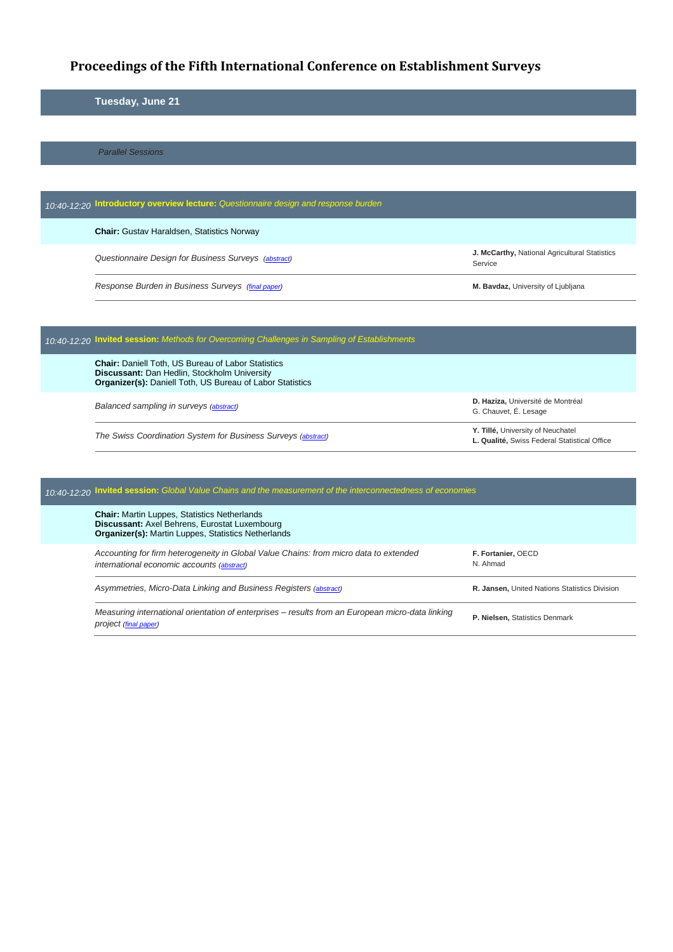# **Proceedings of the Fifth International Conference on Establishment Surveys**

## **Tuesday, June 21**

*Parallel Sessions*

| 10:40-12:20 Introductory overview lecture: Questionnaire design and response burden |                                                                 |
|-------------------------------------------------------------------------------------|-----------------------------------------------------------------|
| <b>Chair:</b> Gustav Haraldsen, Statistics Norway                                   |                                                                 |
| Questionnaire Design for Business Surveys (abstract)                                | <b>J. McCarthy, National Agricultural Statistics</b><br>Service |
| Response Burden in Business Surveys (final paper)                                   | M. Bavdaz, University of Ljubljana                              |

| 10:40-12:20 Invited session: Methods for Overcoming Challenges in Sampling of Establishments                                                                                  |                                                                                   |  |
|-------------------------------------------------------------------------------------------------------------------------------------------------------------------------------|-----------------------------------------------------------------------------------|--|
| <b>Chair:</b> Daniell Toth, US Bureau of Labor Statistics<br>Discussant: Dan Hedlin, Stockholm University<br><b>Organizer(s): Daniell Toth, US Bureau of Labor Statistics</b> |                                                                                   |  |
| Balanced sampling in surveys (abstract)                                                                                                                                       | D. Haziza, Université de Montréal<br>G. Chauvet, É. Lesage                        |  |
| The Swiss Coordination System for Business Surveys (abstract)                                                                                                                 | Y. Tillé, University of Neuchatel<br>L. Qualité, Swiss Federal Statistical Office |  |

| 10:40-12:20 Invited session: Global Value Chains and the measurement of the interconnectedness of economies |                                                                                                                                                                    |                                                      |
|-------------------------------------------------------------------------------------------------------------|--------------------------------------------------------------------------------------------------------------------------------------------------------------------|------------------------------------------------------|
|                                                                                                             | <b>Chair:</b> Martin Luppes, Statistics Netherlands<br>Discussant: Axel Behrens, Eurostat Luxembourg<br><b>Organizer(s): Martin Luppes, Statistics Netherlands</b> |                                                      |
|                                                                                                             | Accounting for firm heterogeneity in Global Value Chains: from micro data to extended<br>international economic accounts (abstract)                                | F. Fortanier, OECD<br>N. Ahmad                       |
|                                                                                                             | Asymmetries, Micro-Data Linking and Business Registers (abstract)                                                                                                  | <b>R. Jansen.</b> United Nations Statistics Division |
|                                                                                                             | Measuring international orientation of enterprises – results from an European micro-data linking<br>project (final paper)                                          | P. Nielsen, Statistics Denmark                       |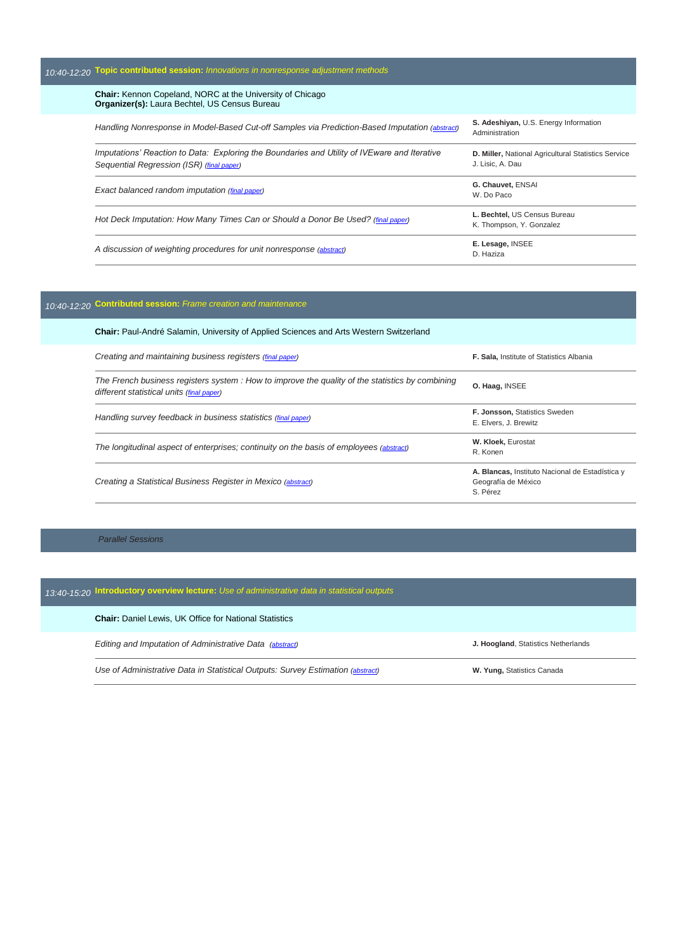| 10:40-12:20 Topic contributed session: Innovations in nonresponse adjustment methods                                                      |                                                                         |
|-------------------------------------------------------------------------------------------------------------------------------------------|-------------------------------------------------------------------------|
| <b>Chair:</b> Kennon Copeland, NORC at the University of Chicago<br><b>Organizer(s):</b> Laura Bechtel, US Census Bureau                  |                                                                         |
| Handling Nonresponse in Model-Based Cut-off Samples via Prediction-Based Imputation (abstract)                                            | S. Adeshiyan, U.S. Energy Information<br>Administration                 |
| Imputations' Reaction to Data: Exploring the Boundaries and Utility of IVEware and Iterative<br>Sequential Regression (ISR) (final paper) | D. Miller, National Agricultural Statistics Service<br>J. Lisic, A. Dau |
| Exact balanced random imputation (final paper)                                                                                            | G. Chauvet, ENSAI<br>W. Do Paco                                         |
| Hot Deck Imputation: How Many Times Can or Should a Donor Be Used? (final paper)                                                          | L. Bechtel, US Census Bureau<br>K. Thompson, Y. Gonzalez                |
| A discussion of weighting procedures for unit nonresponse (abstract)                                                                      | E. Lesage, INSEE<br>D. Haziza                                           |

### *10:40-12:20* **Contributed session:** *Frame creation and maintenance*

| <b>Chair:</b> Paul-André Salamin, University of Applied Sciences and Arts Western Switzerland                                                 |                                                                                    |
|-----------------------------------------------------------------------------------------------------------------------------------------------|------------------------------------------------------------------------------------|
| Creating and maintaining business registers (final paper)                                                                                     | <b>F. Sala.</b> Institute of Statistics Albania                                    |
| The French business registers system : How to improve the quality of the statistics by combining<br>different statistical units (final paper) | O. Haag, INSEE                                                                     |
| Handling survey feedback in business statistics (final paper)                                                                                 | F. Jonsson, Statistics Sweden<br>E. Elvers. J. Brewitz                             |
| The longitudinal aspect of enterprises; continuity on the basis of employees (abstract)                                                       | W. Kloek, Eurostat<br>R. Konen                                                     |
| Creating a Statistical Business Register in Mexico (abstract)                                                                                 | A. Blancas, Instituto Nacional de Estadística y<br>Geografía de México<br>S. Pérez |

#### *Parallel Sessions*

### *13:40-15:20* **Introductory overview lecture:** *Use of administrative data in statistical outputs*

**Chair:** Daniel Lewis, UK Office for National Statistics

*Editing and Imputation of Administrative Data [\(abstract\)](http://ww2.amstat.org/meetings/ices/2016/proceedings/019_ices15abstract00335.pdf)* **J. Hoogland**, Statistics Netherlands

*Use of Administrative Data in Statistical Outputs: Survey Estimation (<i>abstract*) **W. Yung, Statistics Canada**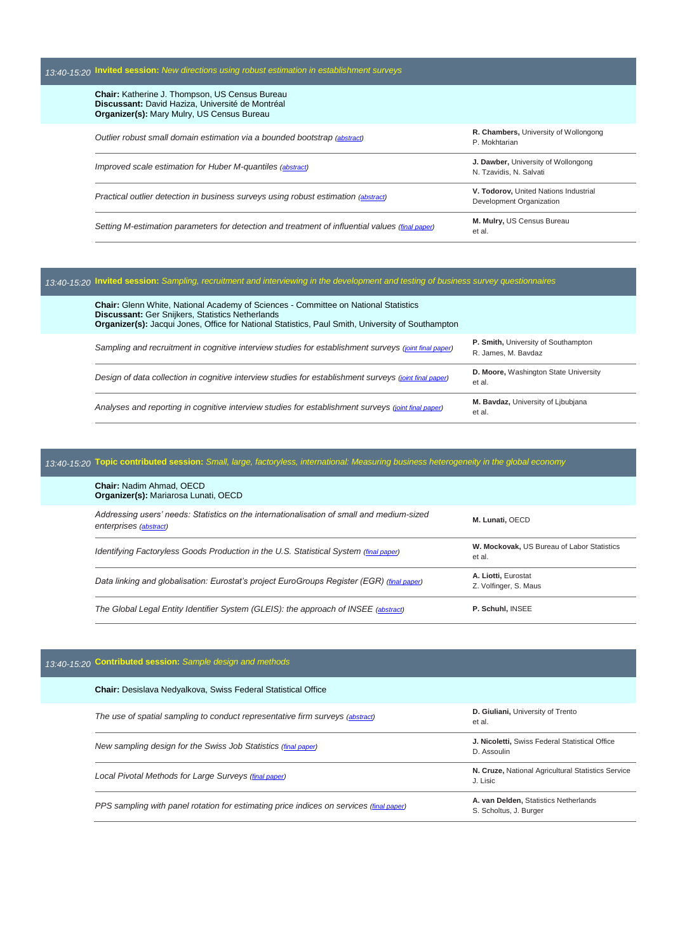| 13:40-15:20 Invited session: New directions using robust estimation in establishment surveys                                                            |                                                                   |
|---------------------------------------------------------------------------------------------------------------------------------------------------------|-------------------------------------------------------------------|
| Chair: Katherine J. Thompson, US Census Bureau<br>Discussant: David Haziza, Université de Montréal<br><b>Organizer(s): Mary Mulry, US Census Bureau</b> |                                                                   |
| Outlier robust small domain estimation via a bounded bootstrap (abstract)                                                                               | R. Chambers, University of Wollongong<br>P. Mokhtarian            |
| Improved scale estimation for Huber M-quantiles (abstract)                                                                                              | J. Dawber, University of Wollongong<br>N. Tzavidis, N. Salvati    |
| Practical outlier detection in business surveys using robust estimation (abstract)                                                                      | V. Todorov, United Nations Industrial<br>Development Organization |
| Setting M-estimation parameters for detection and treatment of influential values (final paper)                                                         | M. Mulry, US Census Bureau<br>et al.                              |

#### *13:40-15:20* **Invited session:** *Sampling, recruitment and interviewing in the development and testing of business survey questionnaires*

| <b>Chair:</b> Glenn White, National Academy of Sciences - Committee on National Statistics<br><b>Discussant:</b> Ger Snijkers, Statistics Netherlands<br><b>Organizer(s):</b> Jacqui Jones, Office for National Statistics, Paul Smith, University of Southampton |                                                            |
|-------------------------------------------------------------------------------------------------------------------------------------------------------------------------------------------------------------------------------------------------------------------|------------------------------------------------------------|
| Sampling and recruitment in cognitive interview studies for establishment surveys (joint final paper)                                                                                                                                                             | P. Smith, University of Southampton<br>R. James, M. Bavdaz |
| Design of data collection in cognitive interview studies for establishment surveys (joint final paper)                                                                                                                                                            | D. Moore, Washington State University<br>et al.            |
| Analyses and reporting in cognitive interview studies for establishment surveys (joint final paper)                                                                                                                                                               | M. Bavdaz, University of Libubjana<br>et al.               |

# *13:40-15:20* **Topic contributed session:** *Small, large, factoryless, international: Measuring business heterogeneity in the global economy*

| The Global Legal Entity Identifier System (GLEIS): the approach of INSEE (abstract)                                 | P. Schuhl, INSEE                                     |
|---------------------------------------------------------------------------------------------------------------------|------------------------------------------------------|
| Data linking and globalisation: Eurostat's project EuroGroups Register (EGR) (final paper)                          | A. Liotti, Eurostat<br>Z. Volfinger, S. Maus         |
| Identifying Factoryless Goods Production in the U.S. Statistical System (final paper)                               | W. Mockovak, US Bureau of Labor Statistics<br>et al. |
| Addressing users' needs: Statistics on the internationalisation of small and medium-sized<br>enterprises (abstract) | M. Lunati, OECD                                      |
| <b>Chair: Nadim Ahmad, OECD</b><br><b>Organizer(s): Mariarosa Lunati, OECD</b>                                      |                                                      |

## *13:40-15:20* **Contributed session:** *Sample design and methods*

| <b>Chair:</b> Desislava Nedyalkova, Swiss Federal Statistical Office                    |                                                                 |
|-----------------------------------------------------------------------------------------|-----------------------------------------------------------------|
| The use of spatial sampling to conduct representative firm surveys (abstract)           | D. Giuliani, University of Trento<br>et al.                     |
| New sampling design for the Swiss Job Statistics (final paper)                          | J. Nicoletti, Swiss Federal Statistical Office<br>D. Assoulin   |
| Local Pivotal Methods for Large Surveys (final paper)                                   | N. Cruze, National Agricultural Statistics Service<br>J. Lisic  |
| PPS sampling with panel rotation for estimating price indices on services (final paper) | A. van Delden, Statistics Netherlands<br>S. Scholtus, J. Burger |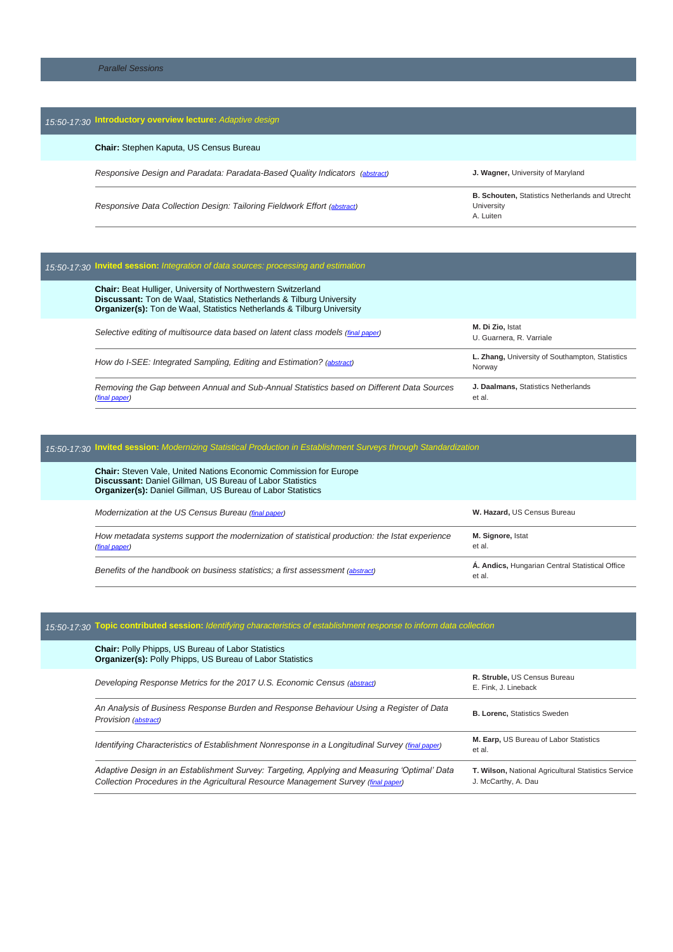| <b>Chair:</b> Stephen Kaputa, US Census Bureau                                                      |                                                        |
|-----------------------------------------------------------------------------------------------------|--------------------------------------------------------|
|                                                                                                     |                                                        |
| Responsive Design and Paradata: Paradata-Based Quality Indicators (abstract)                        | J. Wagner, University of Maryland                      |
| Responsive Data Collection Design: Tailoring Fieldwork Effort (abstract)<br>University<br>A. Luiten | <b>B. Schouten, Statistics Netherlands and Utrecht</b> |

| 15:50-17:30 Invited session: Integration of data sources: processing and estimation                                                                                                                                                 |                                                           |
|-------------------------------------------------------------------------------------------------------------------------------------------------------------------------------------------------------------------------------------|-----------------------------------------------------------|
| <b>Chair:</b> Beat Hulliger, University of Northwestern Switzerland<br><b>Discussant:</b> Ton de Waal, Statistics Netherlands & Tilburg University<br><b>Organizer(s):</b> Ton de Waal, Statistics Netherlands & Tilburg University |                                                           |
| Selective editing of multisource data based on latent class models (final paper)                                                                                                                                                    | M. Di Zio. Istat<br>U. Guarnera, R. Varriale              |
| How do I-SEE: Integrated Sampling, Editing and Estimation? (abstract)                                                                                                                                                               | L. Zhang, University of Southampton, Statistics<br>Norway |
| Removing the Gap between Annual and Sub-Annual Statistics based on Different Data Sources<br>(final paper)                                                                                                                          | J. Daalmans, Statistics Netherlands<br>et al.             |

# *15:50-17:30* **Invited session:** *Modernizing Statistical Production in Establishment Surveys through Standardization*

| <b>Chair:</b> Steven Vale, United Nations Economic Commission for Europe<br><b>Discussant: Daniel Gillman, US Bureau of Labor Statistics</b><br><b>Organizer(s): Daniel Gillman, US Bureau of Labor Statistics</b> |                                                           |
|--------------------------------------------------------------------------------------------------------------------------------------------------------------------------------------------------------------------|-----------------------------------------------------------|
| Modernization at the US Census Bureau (final paper)                                                                                                                                                                | W. Hazard, US Census Bureau                               |
| How metadata systems support the modernization of statistical production: the Istat experience<br>(final paper)                                                                                                    | M. Signore, Istat<br>et al.                               |
| Benefits of the handbook on business statistics; a first assessment (abstract)                                                                                                                                     | A. Andics, Hungarian Central Statistical Office<br>et al. |

| 15:50-17:30 Topic contributed session: Identifying characteristics of establishment response to inform data collection                                                             |                                                                            |
|------------------------------------------------------------------------------------------------------------------------------------------------------------------------------------|----------------------------------------------------------------------------|
| <b>Chair:</b> Polly Phipps, US Bureau of Labor Statistics<br>Organizer(s): Polly Phipps, US Bureau of Labor Statistics                                                             |                                                                            |
| Developing Response Metrics for the 2017 U.S. Economic Census (abstract)                                                                                                           | R. Struble, US Census Bureau<br>E. Fink. J. Lineback                       |
| An Analysis of Business Response Burden and Response Behaviour Using a Register of Data<br><b>Provision</b> (abstract)                                                             | <b>B. Lorenc, Statistics Sweden</b>                                        |
| Identifying Characteristics of Establishment Nonresponse in a Longitudinal Survey (final paper)                                                                                    | M. Earp, US Bureau of Labor Statistics<br>et al.                           |
| Adaptive Design in an Establishment Survey: Targeting, Applying and Measuring 'Optimal' Data<br>Collection Procedures in the Agricultural Resource Management Survey (final paper) | T. Wilson, National Agricultural Statistics Service<br>J. McCarthy, A. Dau |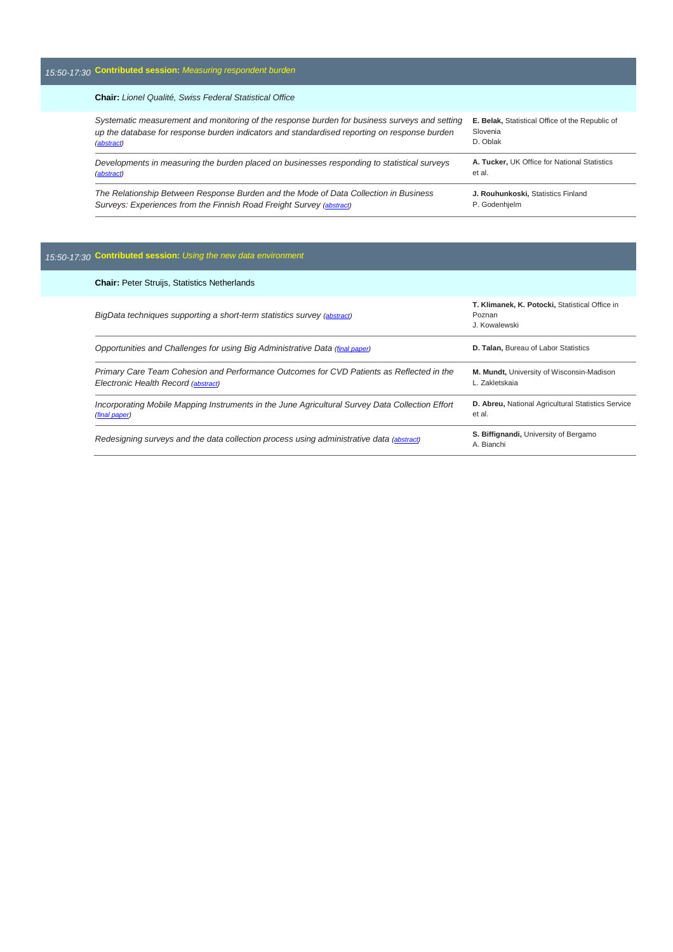## *15:50-17:30* **Contributed session:** *Measuring respondent burden*

#### **Chair:** *Lionel Qualité, Swiss Federal Statistical Office*

| Systematic measurement and monitoring of the response burden for business surveys and setting | E. Belak, Statistical Office of the Republic of |
|-----------------------------------------------------------------------------------------------|-------------------------------------------------|
| up the database for response burden indicators and standardised reporting on response burden  | Slovenia                                        |
| (abstract)                                                                                    | D. Oblak                                        |
| Developments in measuring the burden placed on businesses responding to statistical surveys   | A. Tucker, UK Office for National Statistics    |
| (abstract)                                                                                    | et al.                                          |
| The Relationship Between Response Burden and the Mode of Data Collection in Business          | J. Rouhunkoski, Statistics Finland              |
| Surveys: Experiences from the Finnish Road Freight Survey (abstract)                          | P. Godenhjelm                                   |

### *15:50-17:30* **Contributed session:** *Using the new data environment*

| <b>Chair: Peter Struijs, Statistics Netherlands</b>                                                                             |                                                                           |
|---------------------------------------------------------------------------------------------------------------------------------|---------------------------------------------------------------------------|
| BigData techniques supporting a short-term statistics survey (abstract)                                                         | T. Klimanek, K. Potocki, Statistical Office in<br>Poznan<br>J. Kowalewski |
| Opportunities and Challenges for using Big Administrative Data (final paper)                                                    | D. Talan, Bureau of Labor Statistics                                      |
| Primary Care Team Cohesion and Performance Outcomes for CVD Patients as Reflected in the<br>Electronic Health Record (abstract) | M. Mundt, University of Wisconsin-Madison<br>L. Zakletskaja               |
| Incorporating Mobile Mapping Instruments in the June Agricultural Survey Data Collection Effort<br>(final paper)                | D. Abreu, National Agricultural Statistics Service<br>et al.              |
| Redesigning surveys and the data collection process using administrative data (abstract)                                        | S. Biffignandi, University of Bergamo<br>A. Bianchi                       |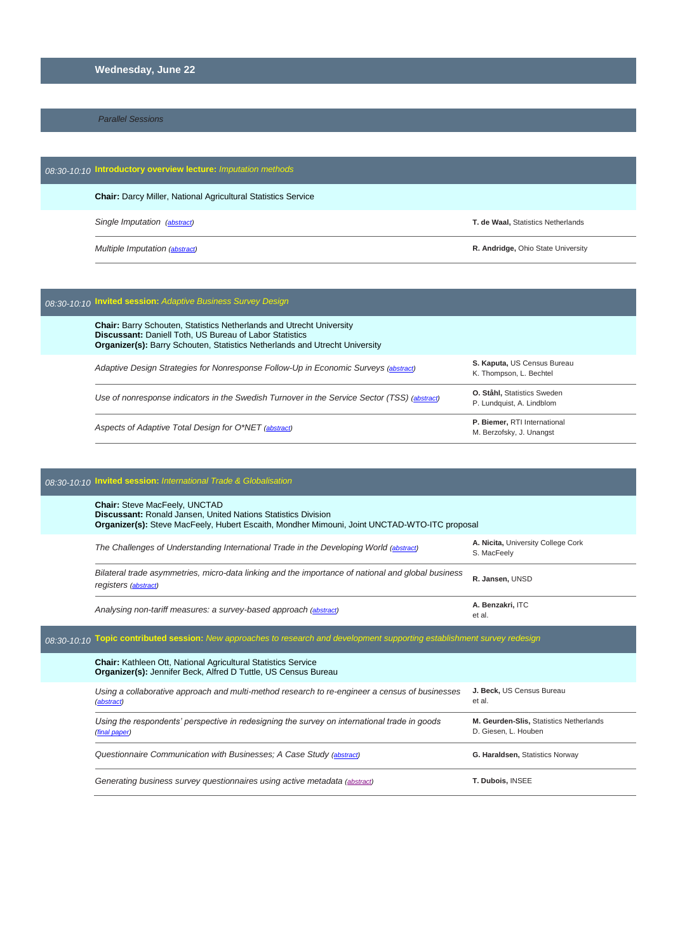#### **Wednesday, June 22**

*Parallel Sessions*

| 08:30-10:10 Introductory overview lecture: Imputation methods |                                                                      |                                    |
|---------------------------------------------------------------|----------------------------------------------------------------------|------------------------------------|
|                                                               | <b>Chair:</b> Darcy Miller, National Agricultural Statistics Service |                                    |
| Single Imputation (abstract)                                  |                                                                      | T. de Waal, Statistics Netherlands |
| Multiple Imputation (abstract)                                |                                                                      | R. Andridge, Ohio State University |

### *08:30-10:10* **Invited session:** *Adaptive Business Survey Design*

| <b>Chair: Barry Schouten, Statistics Netherlands and Utrecht University</b><br><b>Discussant: Daniell Toth, US Bureau of Labor Statistics</b><br><b>Organizer(s):</b> Barry Schouten, Statistics Netherlands and Utrecht University |                                                                 |
|-------------------------------------------------------------------------------------------------------------------------------------------------------------------------------------------------------------------------------------|-----------------------------------------------------------------|
| Adaptive Design Strategies for Nonresponse Follow-Up in Economic Surveys (abstract)                                                                                                                                                 | S. Kaputa, US Census Bureau<br>K. Thompson, L. Bechtel          |
| Use of nonresponse indicators in the Swedish Turnover in the Service Sector (TSS) (abstract)                                                                                                                                        | <b>O. Ståhl, Statistics Sweden</b><br>P. Lundquist, A. Lindblom |
| Aspects of Adaptive Total Design for O*NET (abstract)                                                                                                                                                                               | P. Biemer, RTI International<br>M. Berzofsky, J. Unangst        |

| 08:30-10:10 Invited session: International Trade & Globalisation |                                                                                                                                                                                                              |                                                                 |
|------------------------------------------------------------------|--------------------------------------------------------------------------------------------------------------------------------------------------------------------------------------------------------------|-----------------------------------------------------------------|
|                                                                  | <b>Chair: Steve MacFeely, UNCTAD</b><br><b>Discussant: Ronald Jansen, United Nations Statistics Division</b><br>Organizer(s): Steve MacFeely, Hubert Escaith, Mondher Mimouni, Joint UNCTAD-WTO-ITC proposal |                                                                 |
|                                                                  | The Challenges of Understanding International Trade in the Developing World (abstract)                                                                                                                       | A. Nicita, University College Cork<br>S. MacFeely               |
|                                                                  | Bilateral trade asymmetries, micro-data linking and the importance of national and global business<br>registers (abstract)                                                                                   | R. Jansen, UNSD                                                 |
|                                                                  | Analysing non-tariff measures: a survey-based approach (abstract)                                                                                                                                            | A. Benzakri, ITC<br>et al.                                      |
|                                                                  | 08:30-10:10 Topic contributed session: New approaches to research and development supporting establishment survey redesign                                                                                   |                                                                 |
|                                                                  | <b>Chair:</b> Kathleen Ott, National Agricultural Statistics Service<br>Organizer(s): Jennifer Beck, Alfred D Tuttle, US Census Bureau                                                                       |                                                                 |
|                                                                  | Using a collaborative approach and multi-method research to re-engineer a census of businesses<br>(abstract)                                                                                                 | J. Beck. US Census Bureau<br>et al.                             |
|                                                                  | Using the respondents' perspective in redesigning the survey on international trade in goods<br>(final paper)                                                                                                | M. Geurden-Slis, Statistics Netherlands<br>D. Giesen, L. Houben |
|                                                                  | Questionnaire Communication with Businesses: A Case Study (abstract)                                                                                                                                         | G. Haraldsen, Statistics Norway                                 |
|                                                                  | Generating business survey questionnaires using active metadata (abstract)                                                                                                                                   | T. Dubois, INSEE                                                |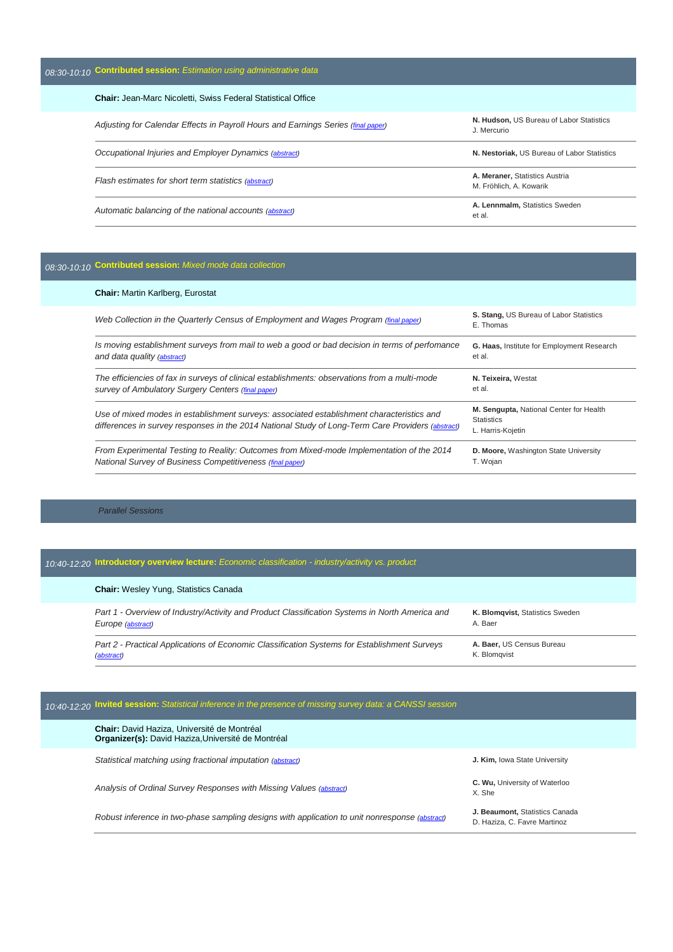*08:30-10:10* **Contributed session:** *Estimation using administrative data*

| <b>Chair: Jean-Marc Nicoletti, Swiss Federal Statistical Office</b>               |                                                           |  |
|-----------------------------------------------------------------------------------|-----------------------------------------------------------|--|
| Adjusting for Calendar Effects in Payroll Hours and Earnings Series (final paper) | N. Hudson. US Bureau of Labor Statistics<br>J. Mercurio   |  |
| Occupational Injuries and Employer Dynamics (abstract)                            | N. Nestoriak, US Bureau of Labor Statistics               |  |
| Flash estimates for short term statistics (abstract)                              | A. Meraner, Statistics Austria<br>M. Fröhlich, A. Kowarik |  |
| Automatic balancing of the national accounts (abstract)                           | A. Lennmalm. Statistics Sweden<br>et al.                  |  |

#### *08:30-10:10* **Contributed session:** *Mixed mode data collection*

#### **Chair:** Martin Karlberg, Eurostat *Web Collection in the Quarterly Census of Employment and Wages Program (final [paper\)](http://ww2.amstat.org/meetings/ices/2016/proceedings/072_ices15Final00299.pdf)* **S. Stang,** US Bureau of Labor Statistics E. Thomas *Is moving establishment surveys from mail to web a good or bad decision in terms of perfomance and data quality [\(abstract\)](http://ww2.amstat.org/meetings/ices/2016/proceedings/073_ices15Abstract00170.pdf)* **G. Haas,** Institute for Employment Research et al. *The efficiencies of fax in surveys of clinical establishments: observations from a multi-mode survey of Ambulatory Surgery Centers (final [paper\)](http://ww2.amstat.org/meetings/ices/2016/proceedings/074_ices15Final00152.pdf)* **N. Teixeira,** Westat et al. *Use of mixed modes in establishment surveys: associated establishment characteristics and*  differences in survey responses in the 2014 National Study of Long-Term Care Providers [\(abstract\)](http://ww2.amstat.org/meetings/ices/2016/proceedings/075_ices15Abstract00134.pdf) **M. Sengupta,** National Center for Health **Statistics** L. Harris-Kojetin *From Experimental Testing to Reality: Outcomes from Mixed-mode Implementation of the 2014 National Survey of Business Competitiveness (final [paper\)](http://ww2.amstat.org/meetings/ices/2016/proceedings/076_ices15final00063.pdf)* **D. Moore,** Washington State University T. Wojan

#### *Parallel Sessions*

### *10:40-12:20* **Introductory overview lecture:** *Economic classification - industry/activity vs. product*

| <b>Chair:</b> Wesley Yung, Statistics Canada                                                                        |                                            |
|---------------------------------------------------------------------------------------------------------------------|--------------------------------------------|
| Part 1 - Overview of Industry/Activity and Product Classification Systems in North America and<br>Europe (abstract) | K. Blomqvist, Statistics Sweden<br>A. Baer |
| Part 2 - Practical Applications of Economic Classification Systems for Establishment Surveys<br>(abstract)          | A. Baer, US Census Bureau<br>K. Blomavist  |

#### *10:40-12:20* **Invited session:** *Statistical inference in the presence of missing survey data: a CANSSI session*

| <b>Chair:</b> David Haziza, Université de Montréal<br><b>Organizer(s):</b> David Haziza, Université de Montréal |                                                                                                |                                                                |
|-----------------------------------------------------------------------------------------------------------------|------------------------------------------------------------------------------------------------|----------------------------------------------------------------|
| Statistical matching using fractional imputation (abstract)                                                     |                                                                                                | J. Kim, Iowa State University                                  |
|                                                                                                                 | Analysis of Ordinal Survey Responses with Missing Values (abstract)                            | C. Wu, University of Waterloo<br>X. She                        |
|                                                                                                                 | Robust inference in two-phase sampling designs with application to unit nonresponse (abstract) | J. Beaumont, Statistics Canada<br>D. Haziza, C. Favre Martinoz |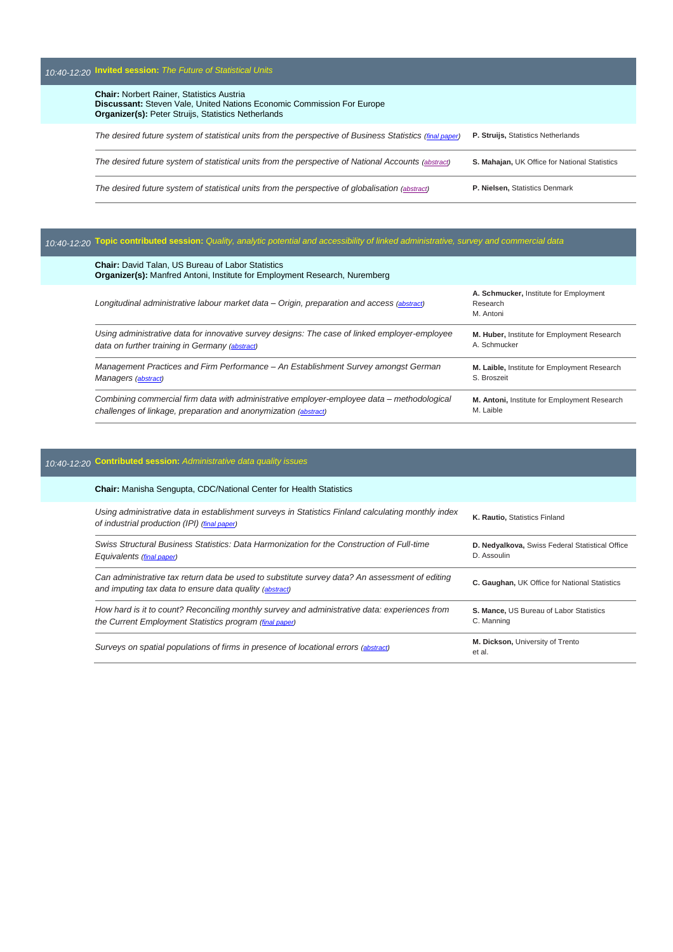| 10:40-12:20 Invited session: The Future of Statistical Units                                                                                                                                    |                                               |
|-------------------------------------------------------------------------------------------------------------------------------------------------------------------------------------------------|-----------------------------------------------|
| <b>Chair: Norbert Rainer, Statistics Austria</b><br><b>Discussant:</b> Steven Vale, United Nations Economic Commission For Europe<br><b>Organizer(s): Peter Struijs, Statistics Netherlands</b> |                                               |
| The desired future system of statistical units from the perspective of Business Statistics (final paper)                                                                                        | P. Struijs, Statistics Netherlands            |
| The desired future system of statistical units from the perspective of National Accounts (abstract)                                                                                             | S. Mahajan, UK Office for National Statistics |
| The desired future system of statistical units from the perspective of globalisation (abstract)                                                                                                 | P. Nielsen, Statistics Denmark                |

# *10:40-12:20* **Topic contributed session:** *Quality, analytic potential and accessibility of linked administrative, survey and commercial data*

| <b>Chair:</b> David Talan, US Bureau of Labor Statistics<br><b>Organizer(s):</b> Manfred Antoni, Institute for Employment Research, Nuremberg |                                                                 |
|-----------------------------------------------------------------------------------------------------------------------------------------------|-----------------------------------------------------------------|
| Longitudinal administrative labour market data - Origin, preparation and access (abstract)                                                    | A. Schmucker, Institute for Employment<br>Research<br>M. Antoni |
| Using administrative data for innovative survey designs: The case of linked employer-employee                                                 | M. Huber, Institute for Employment Research                     |
| data on further training in Germany (abstract)                                                                                                | A. Schmucker                                                    |
| Management Practices and Firm Performance – An Establishment Survey amongst German                                                            | M. Laible, Institute for Employment Research                    |
| Managers (abstract)                                                                                                                           | S. Broszeit                                                     |
| Combining commercial firm data with administrative employer-employee data – methodological                                                    | M. Antoni, Institute for Employment Research                    |
| challenges of linkage, preparation and anonymization (abstract)                                                                               | M. Laible                                                       |

# *10:40-12:20* **Contributed session:** *Administrative data quality issues*

| <b>Chair:</b> Manisha Sengupta, CDC/National Center for Health Statistics                                                                                 |                                                                |
|-----------------------------------------------------------------------------------------------------------------------------------------------------------|----------------------------------------------------------------|
| Using administrative data in establishment surveys in Statistics Finland calculating monthly index<br>of industrial production (IPI) (final paper)        | K. Rautio, Statistics Finland                                  |
| Swiss Structural Business Statistics: Data Harmonization for the Construction of Full-time<br>Equivalents (final paper)                                   | D. Nedyalkova, Swiss Federal Statistical Office<br>D. Assoulin |
| Can administrative tax return data be used to substitute survey data? An assessment of editing<br>and imputing tax data to ensure data quality (abstract) | C. Gaughan, UK Office for National Statistics                  |
| How hard is it to count? Reconciling monthly survey and administrative data: experiences from<br>the Current Employment Statistics program (final paper)  | S. Mance, US Bureau of Labor Statistics<br>C. Manning          |
| Surveys on spatial populations of firms in presence of locational errors (abstract)                                                                       | M. Dickson, University of Trento<br>et al.                     |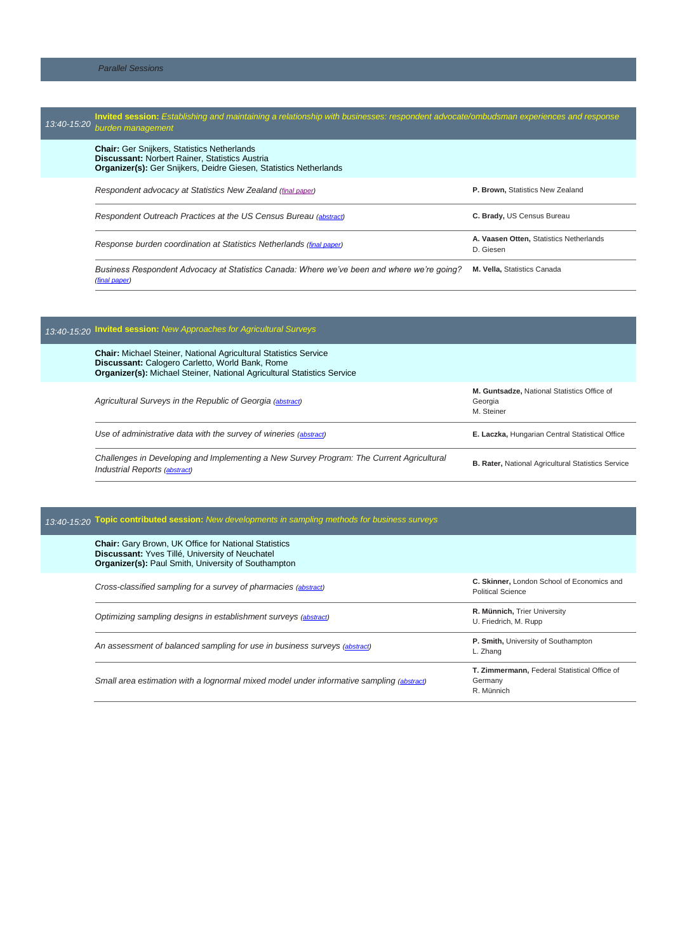#### **Invited session:** *Establishing and maintaining a relationship with businesses: respondent advocate/ombudsman experiences and response<br>13:40-15:20 burden management burden management* **Chair:** Ger Snijkers, Statistics Netherlands **Discussant:** Norbert Rainer, Statistics Austria **Organizer(s):** Ger Snijkers, Deidre Giesen, Statistics Netherlands *Respondent advocacy at Statistics New Zealand [\(final paper\)](http://ww2.amstat.org/meetings/ices/2016/proceedings/Paul%20Brown.pdf)* **P. Brown,** Statistics New Zealand *Respondent Outreach Practices at the US Census Bureau [\(abstract\)](http://ww2.amstat.org/meetings/ices/2016/proceedings/095_ices15Abstract00246.pdf)* **C. Brady,** US Census Bureau *Response burden coordination at Statistics Netherlands (final [paper\)](http://ww2.amstat.org/meetings/ices/2016/proceedings/096_ices15Final00082.pdf)* **A. Vaasen Otten,** Statistics Netherlands D. Giesen *Business Respondent Advocacy at Statistics Canada: Where we've been and where we're going?*  **M. Vella,** Statistics Canada *(final [paper\)](http://ww2.amstat.org/meetings/ices/2016/proceedings/097_ices15Final00301.pdf)*

| 13:40-15:20 Invited session: New Approaches for Agricultural Surveys                                                                                                                                         |                                                                      |
|--------------------------------------------------------------------------------------------------------------------------------------------------------------------------------------------------------------|----------------------------------------------------------------------|
| <b>Chair:</b> Michael Steiner, National Agricultural Statistics Service<br>Discussant: Calogero Carletto, World Bank, Rome<br><b>Organizer(s):</b> Michael Steiner, National Agricultural Statistics Service |                                                                      |
| Agricultural Surveys in the Republic of Georgia (abstract)                                                                                                                                                   | M. Guntsadze, National Statistics Office of<br>Georgia<br>M. Steiner |
| Use of administrative data with the survey of wineries (abstract)                                                                                                                                            | E. Laczka, Hungarian Central Statistical Office                      |
| Challenges in Developing and Implementing a New Survey Program: The Current Agricultural<br><b>Industrial Reports (abstract)</b>                                                                             | <b>B. Rater, National Agricultural Statistics Service</b>            |

### *13:40-15:20* **Topic contributed session:** *New developments in sampling methods for business surveys*

| <b>Chair:</b> Gary Brown, UK Office for National Statistics<br>Discussant: Yves Tillé, University of Neuchatel<br><b>Organizer(s): Paul Smith, University of Southampton</b> |                                                                        |
|------------------------------------------------------------------------------------------------------------------------------------------------------------------------------|------------------------------------------------------------------------|
| Cross-classified sampling for a survey of pharmacies (abstract)                                                                                                              | C. Skinner, London School of Economics and<br><b>Political Science</b> |
| Optimizing sampling designs in establishment surveys (abstract)                                                                                                              | R. Münnich, Trier University<br>U. Friedrich, M. Rupp                  |
| An assessment of balanced sampling for use in business surveys (abstract)                                                                                                    | P. Smith, University of Southampton<br>L. Zhang                        |
| Small area estimation with a lognormal mixed model under informative sampling (abstract)                                                                                     | T. Zimmermann, Federal Statistical Office of<br>Germany<br>R. Münnich  |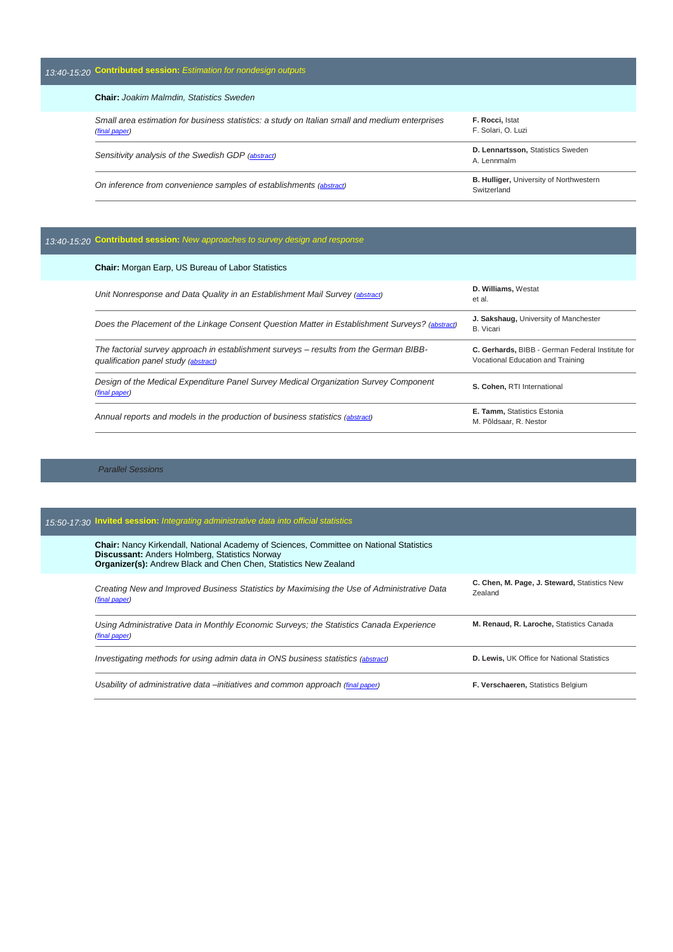## *13:40-15:20* **Contributed session:** *Estimation for nondesign outputs*

**Chair:** *Joakim Malmdin, Statistics Sweden*

| Small area estimation for business statistics: a study on Italian small and medium enterprises<br>(final paper) | F. Rocci, Istat<br>F. Solari, O. Luzi                         |
|-----------------------------------------------------------------------------------------------------------------|---------------------------------------------------------------|
| Sensitivity analysis of the Swedish GDP (abstract)                                                              | D. Lennartsson, Statistics Sweden<br>A. Lennmalm              |
| On inference from convenience samples of establishments (abstract)                                              | <b>B. Hulliger, University of Northwestern</b><br>Switzerland |

## *13:40-15:20* **Contributed session:** *New approaches to survey design and response*

| <b>Chair:</b> Morgan Earp, US Bureau of Labor Statistics                                                                       |                                                                                       |
|--------------------------------------------------------------------------------------------------------------------------------|---------------------------------------------------------------------------------------|
| Unit Nonresponse and Data Quality in an Establishment Mail Survey (abstract)                                                   | <b>D. Williams, Westat</b><br>et al.                                                  |
| Does the Placement of the Linkage Consent Question Matter in Establishment Surveys? (abstract)                                 | J. Sakshaug, University of Manchester<br><b>B.</b> Vicari                             |
| The factorial survey approach in establishment surveys – results from the German BIBB-<br>qualification panel study (abstract) | C. Gerhards, BIBB - German Federal Institute for<br>Vocational Education and Training |
| Design of the Medical Expenditure Panel Survey Medical Organization Survey Component<br>(final paper)                          | S. Cohen. RTI International                                                           |
| Annual reports and models in the production of business statistics (abstract)                                                  | <b>E. Tamm, Statistics Estonia</b><br>M. Põldsaar, R. Nestor                          |

#### *Parallel Sessions*

| 15:50-17:30 Invited session: Integrating administrative data into official statistics                                                                                                                                              |                                                         |  |
|------------------------------------------------------------------------------------------------------------------------------------------------------------------------------------------------------------------------------------|---------------------------------------------------------|--|
| <b>Chair:</b> Nancy Kirkendall, National Academy of Sciences, Committee on National Statistics<br><b>Discussant: Anders Holmberg, Statistics Norway</b><br><b>Organizer(s):</b> Andrew Black and Chen Chen, Statistics New Zealand |                                                         |  |
| Creating New and Improved Business Statistics by Maximising the Use of Administrative Data<br>(final paper)                                                                                                                        | C. Chen, M. Page, J. Steward, Statistics New<br>Zealand |  |
| Using Administrative Data in Monthly Economic Surveys: the Statistics Canada Experience<br>(final paper)                                                                                                                           | M. Renaud, R. Laroche, Statistics Canada                |  |
| Investigating methods for using admin data in ONS business statistics (abstract)                                                                                                                                                   | D. Lewis, UK Office for National Statistics             |  |
| Usability of administrative data – initiatives and common approach (final paper)                                                                                                                                                   | <b>F. Verschaeren, Statistics Belgium</b>               |  |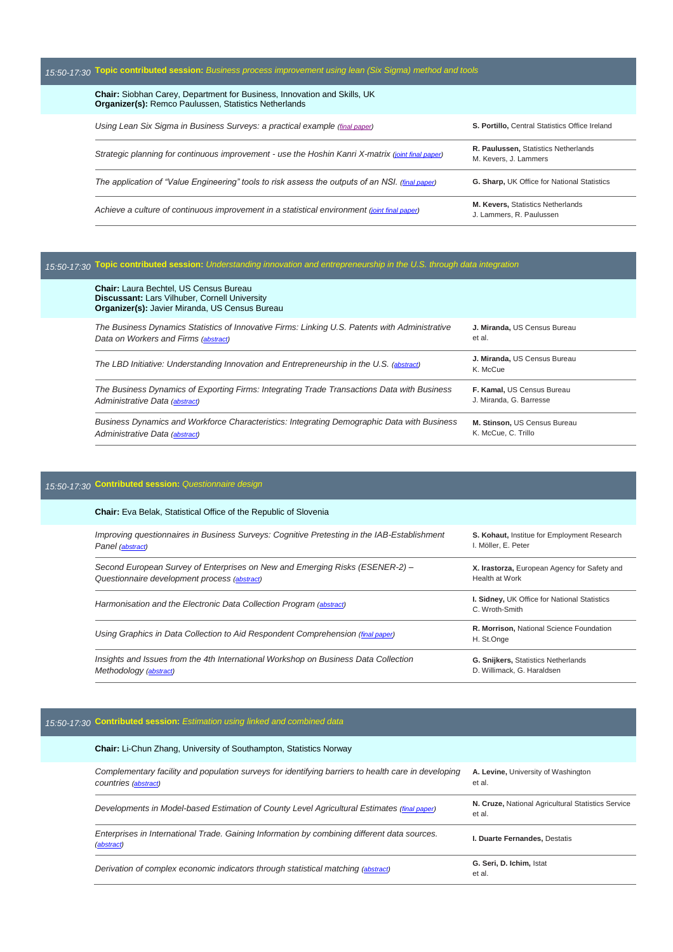#### *15:50-17:30* **Topic contributed session:** *Business process improvement using lean (Six Sigma) method and tools* **Chair:** Siobhan Carey, Department for Business, Innovation and Skills, UK **Organizer(s):** Remco Paulussen, Statistics Netherlands *Using Lean Six Sigma in Business Surveys: a practical example (final [paper\)](http://ww2.amstat.org/meetings/ices/2016/proceedings/Using%20Lean%20Six%20Sigma%20in%20Business%20Surveys%20practical%20example_paper.pdf)* **S. Portillo,** Central Statistics Office Ireland *Strategic planning for continuous improvement - use the Hoshin Kanri X-matrix [\(joint final](http://ww2.amstat.org/meetings/ices/2016/proceedings/118_ices15Final00076.pdf) paper)* **R. Paulussen,** Statistics Netherlands M. Kevers, J. Lammers *The application of "Value Engineering" tools to risk assess the outputs of an NSI. (final [paper\)](http://ww2.amstat.org/meetings/ices/2016/proceedings/119_ices15Final00079.pdf)* **G. Sharp,** UK Office for National Statistics *Achieve a culture of continuous improvement in a statistical environment [\(joint final](http://ww2.amstat.org/meetings/ices/2016/proceedings/120_ices15Final00077.pdf) paper)* **M. Kevers,** Statistics Netherlands J. Lammers, R. Paulussen

#### *15:50-17:30* **Topic contributed session:** *Understanding innovation and entrepreneurship in the U.S. through data integration*

| <b>Chair:</b> Laura Bechtel. US Census Bureau<br><b>Discussant:</b> Lars Vilhuber, Cornell University<br>Organizer(s): Javier Miranda, US Census Bureau |                                          |
|---------------------------------------------------------------------------------------------------------------------------------------------------------|------------------------------------------|
| The Business Dynamics Statistics of Innovative Firms: Linking U.S. Patents with Administrative                                                          | J. Miranda, US Census Bureau             |
| Data on Workers and Firms (abstract)                                                                                                                    | et al.                                   |
| The LBD Initiative: Understanding Innovation and Entrepreneurship in the U.S. (abstract)                                                                | J. Miranda, US Census Bureau<br>K. McCue |
| The Business Dynamics of Exporting Firms: Integrating Trade Transactions Data with Business                                                             | F. Kamal, US Census Bureau               |
| Administrative Data (abstract)                                                                                                                          | J. Miranda, G. Barresse                  |
| Business Dynamics and Workforce Characteristics: Integrating Demographic Data with Business                                                             | M. Stinson, US Census Bureau             |
| Administrative Data (abstract)                                                                                                                          | K. McCue, C. Trillo                      |

#### *15:50-17:30* **Contributed session:** *Questionnaire design*

| <b>Chair:</b> Eva Belak, Statistical Office of the Republic of Slovenia                                                      |                                                                          |
|------------------------------------------------------------------------------------------------------------------------------|--------------------------------------------------------------------------|
| Improving questionnaires in Business Surveys: Cognitive Pretesting in the IAB-Establishment<br>Panel (abstract)              | S. Kohaut, Institue for Employment Research<br>I. Möller. E. Peter       |
| Second European Survey of Enterprises on New and Emerging Risks (ESENER-2) -<br>Questionnaire development process (abstract) | X. Irastorza, European Agency for Safety and<br><b>Health at Work</b>    |
| Harmonisation and the Electronic Data Collection Program (abstract)                                                          | <b>I. Sidney, UK Office for National Statistics</b><br>C. Wroth-Smith    |
| Using Graphics in Data Collection to Aid Respondent Comprehension (final paper)                                              | R. Morrison, National Science Foundation<br>H. St.Onge                   |
| Insights and Issues from the 4th International Workshop on Business Data Collection<br>Methodology (abstract)                | <b>G. Snijkers, Statistics Netherlands</b><br>D. Willimack. G. Haraldsen |

### *15:50-17:30* **Contributed session:** *Estimation using linked and combined data*

| <b>Chair:</b> Li-Chun Zhang, University of Southampton, Statistics Norway                                                   |                                                              |
|-----------------------------------------------------------------------------------------------------------------------------|--------------------------------------------------------------|
| Complementary facility and population surveys for identifying barriers to health care in developing<br>countries (abstract) | A. Levine, University of Washington<br>et al.                |
| Developments in Model-based Estimation of County Level Agricultural Estimates (final paper)                                 | N. Cruze, National Agricultural Statistics Service<br>et al. |
| Enterprises in International Trade. Gaining Information by combining different data sources.<br>(abstract)                  | <b>I. Duarte Fernandes. Destatis</b>                         |
| Derivation of complex economic indicators through statistical matching (abstract)                                           | G. Seri. D. Ichim. Istat<br>et al.                           |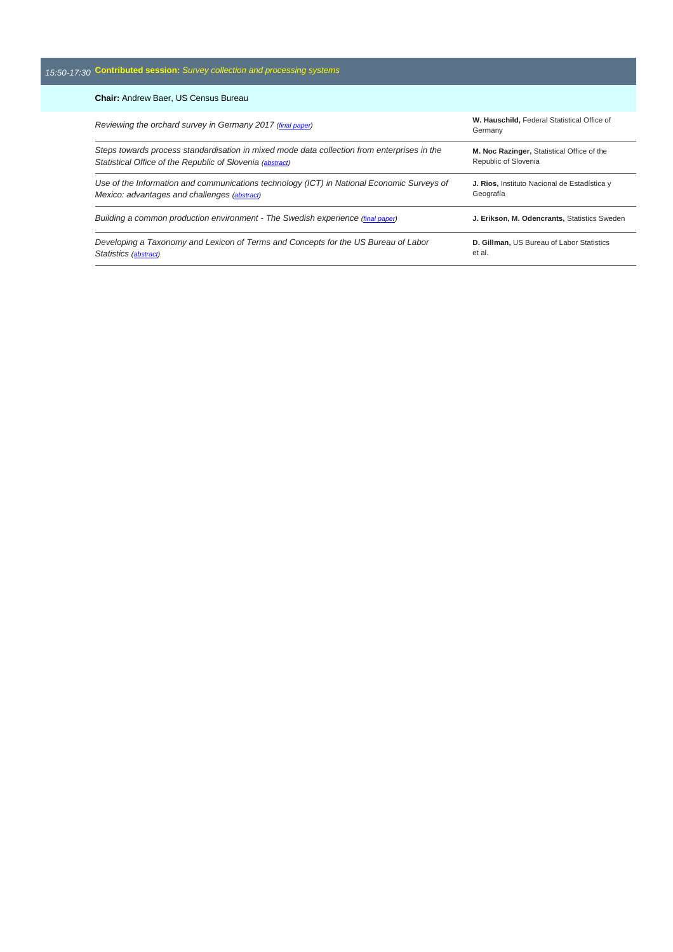#### *15:50-17:30* **Contributed session:** *Survey collection and processing systems*

#### **Chair:** Andrew Baer, US Census Bureau *Reviewing the orchard survey in Germany 2017 (final [paper\)](http://ww2.amstat.org/meetings/ices/2016/proceedings/134_ices15final00060.pdf)* **W. Hauschild,** Federal Statistical Office of Germany *Steps towards process standardisation in mixed mode data collection from enterprises in the Statistical Office of the Republic of Slovenia [\(abstract\)](http://ww2.amstat.org/meetings/ices/2016/proceedings/135_ices15Abstract00055.pdf)* **M. Noc Razinger,** Statistical Office of the Republic of Slovenia *Use of the Information and communications technology (ICT) in National Economic Surveys of Mexico: advantages and challenges [\(abstract\)](http://ww2.amstat.org/meetings/ices/2016/proceedings/136_ices15Abstract00126.pdf)* **J. Rios,** Instituto Nacional de Estadística y Geografía *Building a common production environment - The Swedish experience (final [paper\)](http://ww2.amstat.org/meetings/ices/2016/proceedings/137_ices15Final00203.pdf)* **J. Erikson, M. Odencrants,** Statistics Sweden *Developing a Taxonomy and Lexicon of Terms and Concepts for the US Bureau of Labor Statistics [\(abstract\)](http://ww2.amstat.org/meetings/ices/2016/proceedings/138_ICES15Abstract00330.pdf)* **D. Gillman,** US Bureau of Labor Statistics et al.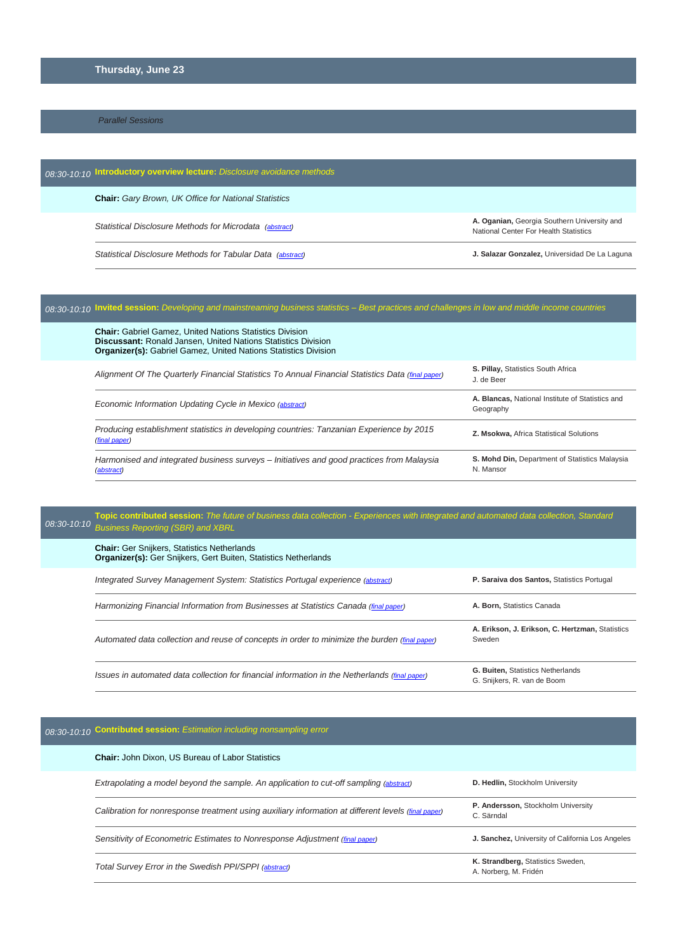#### **Thursday, June 23**

#### *Parallel Sessions*

| 08:30-10:10 Introductory overview lecture: Disclosure avoidance methods |                                                                                      |
|-------------------------------------------------------------------------|--------------------------------------------------------------------------------------|
| <b>Chair:</b> Gary Brown, UK Office for National Statistics             |                                                                                      |
| Statistical Disclosure Methods for Microdata (abstract)                 | A. Oganian, Georgia Southern University and<br>National Center For Health Statistics |
| Statistical Disclosure Methods for Tabular Data (abstract)              | J. Salazar Gonzalez, Universidad De La Laguna                                        |

# *08:30-10:10* **Invited session:** *Developing and mainstreaming business statistics – Best practices and challenges in low and middle income countries*

| <b>S. Pillay, Statistics South Africa</b><br>J. de Beer       |
|---------------------------------------------------------------|
| A. Blancas, National Institute of Statistics and<br>Geography |
| Z. Msokwa, Africa Statistical Solutions                       |
| S. Mohd Din, Department of Statistics Malaysia<br>N. Mansor   |
|                                                               |

#### **Topic contributed session:** *The future of business data collection - Experiences with integrated and automated data collection, Standard 08:30-10:10* Rusiness Reporting (SBR) and XBRI *Business Reporting (SBR) and XBRL*

| <b>Chair:</b> Ger Snijkers, Statistics Netherlands<br><b>Organizer(s):</b> Ger Snijkers, Gert Buiten, Statistics Netherlands |                                                                         |
|------------------------------------------------------------------------------------------------------------------------------|-------------------------------------------------------------------------|
| Integrated Survey Management System: Statistics Portugal experience (abstract)                                               | P. Saraiva dos Santos, Statistics Portugal                              |
| Harmonizing Financial Information from Businesses at Statistics Canada (final paper)                                         | A. Born, Statistics Canada                                              |
| Automated data collection and reuse of concepts in order to minimize the burden (final paper)                                | A. Erikson, J. Erikson, C. Hertzman, Statistics<br>Sweden               |
| Issues in automated data collection for financial information in the Netherlands (final paper)                               | <b>G. Buiten, Statistics Netherlands</b><br>G. Snijkers, R. van de Boom |

### *08:30-10:10* **Contributed session:** *Estimation including nonsampling error*

| <b>Chair: John Dixon, US Bureau of Labor Statistics</b>                                             |                                                            |
|-----------------------------------------------------------------------------------------------------|------------------------------------------------------------|
| Extrapolating a model beyond the sample. An application to cut-off sampling (abstract)              | D. Hedlin, Stockholm University                            |
| Calibration for nonresponse treatment using auxiliary information at different levels (final paper) | P. Andersson, Stockholm University<br>C. Särndal           |
| Sensitivity of Econometric Estimates to Nonresponse Adjustment (final paper)                        | J. Sanchez, University of California Los Angeles           |
| Total Survey Error in the Swedish PPI/SPPI (abstract)                                               | K. Strandberg, Statistics Sweden,<br>A. Norberg, M. Fridén |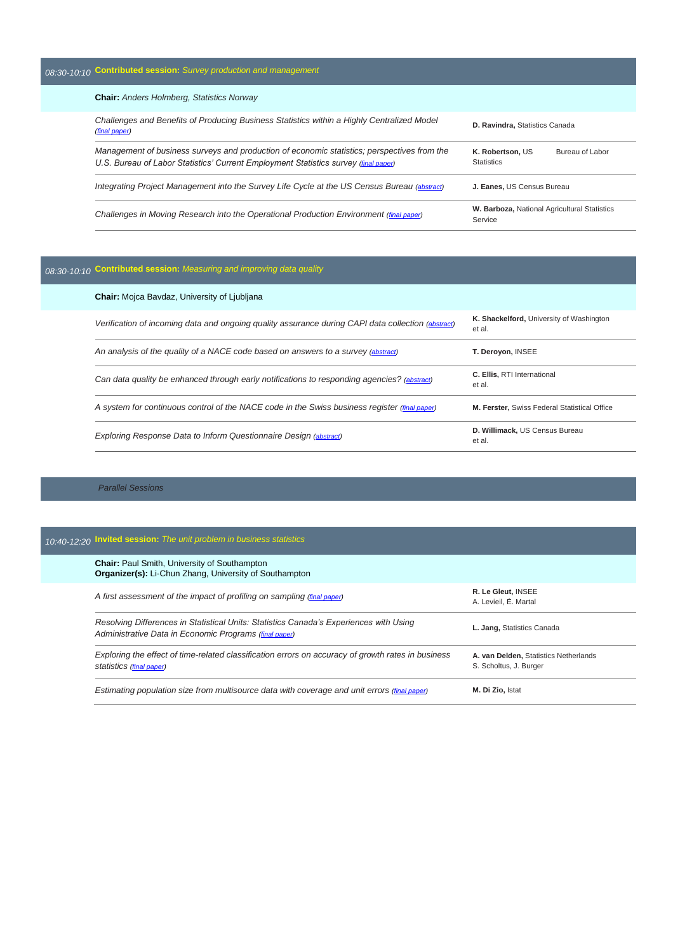#### **Chair:** *Anders Holmberg, Statistics Norway*

| Challenges and Benefits of Producing Business Statistics within a Highly Centralized Model<br><i>(final paper)</i>                                                                 | D. Ravindra, Statistics Canada                           |
|------------------------------------------------------------------------------------------------------------------------------------------------------------------------------------|----------------------------------------------------------|
| Management of business surveys and production of economic statistics; perspectives from the<br>U.S. Bureau of Labor Statistics' Current Employment Statistics survey (final paper) | K. Robertson, US<br>Bureau of Labor<br><b>Statistics</b> |
| Integrating Project Management into the Survey Life Cycle at the US Census Bureau (abstract)                                                                                       | J. Eanes, US Census Bureau                               |
| Challenges in Moving Research into the Operational Production Environment (final paper)                                                                                            | W. Barboza, National Agricultural Statistics<br>Service  |

# *08:30-10:10* **Contributed session:** *Measuring and improving data quality*

| <b>Chair:</b> Mojca Bavdaz, University of Ljubljana                                                |                                                    |
|----------------------------------------------------------------------------------------------------|----------------------------------------------------|
| Verification of incoming data and ongoing quality assurance during CAPI data collection (abstract) | K. Shackelford, University of Washington<br>et al. |
| An analysis of the quality of a NACE code based on answers to a survey (abstract)                  | T. Deroyon, INSEE                                  |
| Can data quality be enhanced through early notifications to responding agencies? (abstract)        | <b>C. Ellis. RTI International</b><br>et al.       |
| A system for continuous control of the NACE code in the Swiss business register (final paper)      | M. Ferster, Swiss Federal Statistical Office       |
| <b>Exploring Response Data to Inform Questionnaire Design (abstract)</b>                           | D. Willimack, US Census Bureau<br>et al.           |

*Parallel Sessions*

| 10:40-12:20 Invited session: The unit problem in business statistics                                                                             |                                                                 |
|--------------------------------------------------------------------------------------------------------------------------------------------------|-----------------------------------------------------------------|
| <b>Chair: Paul Smith, University of Southampton</b><br><b>Organizer(s):</b> Li-Chun Zhang, University of Southampton                             |                                                                 |
| A first assessment of the impact of profiling on sampling (final paper)                                                                          | R. Le Gleut, INSEE<br>A. Levieil. É. Martal                     |
| Resolving Differences in Statistical Units: Statistics Canada's Experiences with Using<br>Administrative Data in Economic Programs (final paper) | L. Jang, Statistics Canada                                      |
| Exploring the effect of time-related classification errors on accuracy of growth rates in business<br>statistics (final paper)                   | A. van Delden, Statistics Netherlands<br>S. Scholtus, J. Burger |
| Estimating population size from multisource data with coverage and unit errors (final paper)                                                     | M. Di Zio, Istat                                                |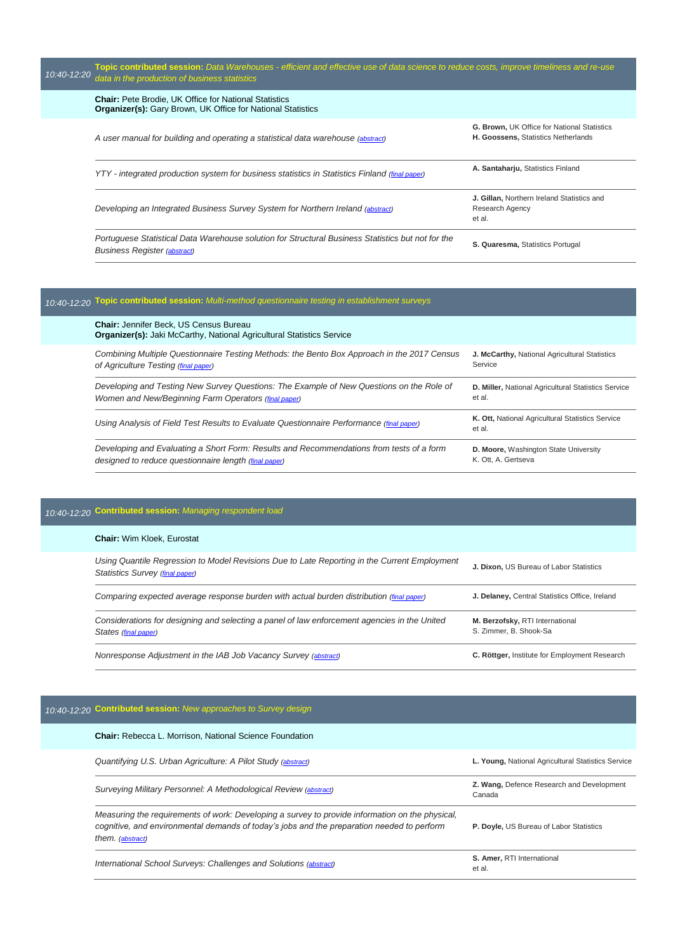| $10:40 - 12:20$ | Topic contributed session: Data Warehouses - efficient and effective use of data science to reduce costs, improve timeliness and re-use<br>data in the production of business statistics |                                                                                           |
|-----------------|------------------------------------------------------------------------------------------------------------------------------------------------------------------------------------------|-------------------------------------------------------------------------------------------|
|                 | <b>Chair:</b> Pete Brodie, UK Office for National Statistics<br><b>Organizer(s):</b> Gary Brown, UK Office for National Statistics                                                       |                                                                                           |
|                 | A user manual for building and operating a statistical data warehouse (abstract)                                                                                                         | <b>G. Brown, UK Office for National Statistics</b><br>H. Goossens, Statistics Netherlands |
|                 | YTY - integrated production system for business statistics in Statistics Finland (final paper)                                                                                           | A. Santaharju, Statistics Finland                                                         |
|                 | Developing an Integrated Business Survey System for Northern Ireland (abstract)                                                                                                          | J. Gillan, Northern Ireland Statistics and<br>Research Agency<br>et al.                   |
|                 | Portuguese Statistical Data Warehouse solution for Structural Business Statistics but not for the<br><b>Business Register (abstract)</b>                                                 | S. Quaresma, Statistics Portugal                                                          |

# *10:40-12:20* **Topic contributed session:** *Multi-method questionnaire testing in establishment surveys*

| <b>Chair: Jennifer Beck, US Census Bureau</b><br><b>Organizer(s):</b> Jaki McCarthy, National Agricultural Statistics Service |                                                            |
|-------------------------------------------------------------------------------------------------------------------------------|------------------------------------------------------------|
| Combining Multiple Questionnaire Testing Methods: the Bento Box Approach in the 2017 Census                                   | J. McCarthy, National Agricultural Statistics              |
| of Agriculture Testing (final paper)                                                                                          | Service                                                    |
| Developing and Testing New Survey Questions: The Example of New Questions on the Role of                                      | D. Miller, National Agricultural Statistics Service        |
| Women and New/Beginning Farm Operators (final paper)                                                                          | et al.                                                     |
| Using Analysis of Field Test Results to Evaluate Questionnaire Performance (final paper)                                      | K. Ott, National Agricultural Statistics Service<br>et al. |
| Developing and Evaluating a Short Form: Results and Recommendations from tests of a form                                      | D. Moore, Washington State University                      |
| designed to reduce questionnaire length (final paper)                                                                         | K. Ott. A. Gertseva                                        |

# *10:40-12:20* **Contributed session:** *Managing respondent load*

#### **Chair:** Wim Kloek, Eurostat

| Nonresponse Adjustment in the IAB Job Vacancy Survey (abstract)                                                                 | C. Röttger, Institute for Employment Research             |
|---------------------------------------------------------------------------------------------------------------------------------|-----------------------------------------------------------|
| Considerations for designing and selecting a panel of law enforcement agencies in the United<br>States (final paper)            | M. Berzofsky, RTI International<br>S. Zimmer, B. Shook-Sa |
| Comparing expected average response burden with actual burden distribution (final paper)                                        | J. Delaney, Central Statistics Office, Ireland            |
| Using Quantile Regression to Model Revisions Due to Late Reporting in the Current Employment<br>Statistics Survey (final paper) | J. Dixon, US Bureau of Labor Statistics                   |

# *10:40-12:20* **Contributed session:** *New approaches to Survey design*

| <b>Chair:</b> Rebecca L. Morrison, National Science Foundation                                                                                                                                                    |                                                     |
|-------------------------------------------------------------------------------------------------------------------------------------------------------------------------------------------------------------------|-----------------------------------------------------|
| Quantifying U.S. Urban Agriculture: A Pilot Study (abstract)                                                                                                                                                      | L. Young, National Agricultural Statistics Service  |
| Surveying Military Personnel: A Methodological Review (abstract)                                                                                                                                                  | Z. Wang, Defence Research and Development<br>Canada |
| Measuring the requirements of work: Developing a survey to provide information on the physical,<br>cognitive, and environmental demands of today's jobs and the preparation needed to perform<br>them. (abstract) | P. Doyle, US Bureau of Labor Statistics             |
| International School Surveys: Challenges and Solutions (abstract)                                                                                                                                                 | S. Amer, RTI International<br>et al.                |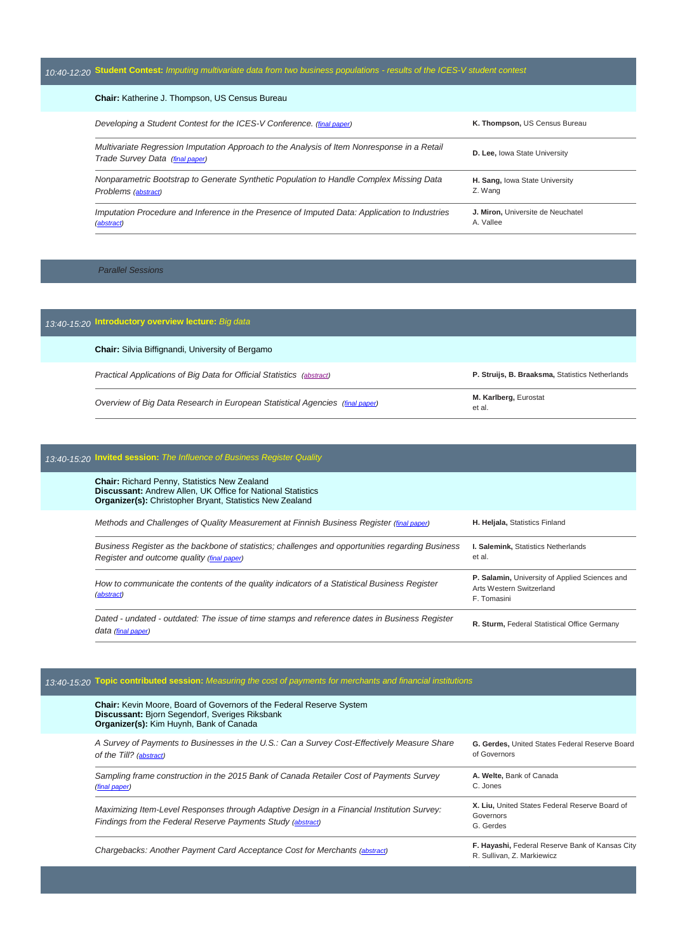| 10:40-12:20 Student Contest: Imputing multivariate data from two business populations - results of the ICES-V student contest  |                                                |  |
|--------------------------------------------------------------------------------------------------------------------------------|------------------------------------------------|--|
| <b>Chair:</b> Katherine J. Thompson, US Census Bureau                                                                          |                                                |  |
| Developing a Student Contest for the ICES-V Conference. (final paper)                                                          | K. Thompson, US Census Bureau                  |  |
| Multivariate Regression Imputation Approach to the Analysis of Item Nonresponse in a Retail<br>Trade Survey Data (final paper) | <b>D. Lee, lowa State University</b>           |  |
| Nonparametric Bootstrap to Generate Synthetic Population to Handle Complex Missing Data<br>Problems (abstract)                 | H. Sang, Iowa State University<br>Z. Wang      |  |
| Imputation Procedure and Inference in the Presence of Imputed Data: Application to Industries<br>(abstract)                    | J. Miron, Universite de Neuchatel<br>A. Vallee |  |

*Parallel Sessions*

## *13:40-15:20* **Introductory overview lecture:** *Big data* **Chair:** Silvia Biffignandi, University of Bergamo *Practical Applications of Big Data for Official Statistics [\(abstract\)](http://ww2.amstat.org/meetings/ices/2016/proceedings/Struijis_Abstract.pdf)* **P. Struijs, B. Braaksma,** Statistics Netherlands *Overview of Big Data Research in European Statistical Agencies (final [paper\)](http://ww2.amstat.org/meetings/ices/2016/proceedings/187_ices15Final00346.pdf)* **M. Karlberg,** Eurostat et al.

## *13:40-15:20* **Invited session:** *The Influence of Business Register Quality*

| <b>Chair:</b> Richard Penny, Statistics New Zealand<br><b>Discussant:</b> Andrew Allen, UK Office for National Statistics<br><b>Organizer(s):</b> Christopher Bryant, Statistics New Zealand |                                                                                           |
|----------------------------------------------------------------------------------------------------------------------------------------------------------------------------------------------|-------------------------------------------------------------------------------------------|
| Methods and Challenges of Quality Measurement at Finnish Business Register (final paper)                                                                                                     | H. Heljala, Statistics Finland                                                            |
| Business Register as the backbone of statistics; challenges and opportunities regarding Business<br>Register and outcome quality (final paper)                                               | I. Salemink, Statistics Netherlands<br>et al.                                             |
| How to communicate the contents of the quality indicators of a Statistical Business Register<br>(abstract)                                                                                   | P. Salamin, University of Applied Sciences and<br>Arts Western Switzerland<br>F. Tomasini |
| Dated - undated - outdated: The issue of time stamps and reference dates in Business Register<br>data (final paper)                                                                          | R. Sturm, Federal Statistical Office Germany                                              |

### *13:40-15:20* **Topic contributed session:** *Measuring the cost of payments for merchants and financial institutions*

| <b>Chair: Kevin Moore, Board of Governors of the Federal Reserve System</b><br>Discussant: Bjorn Segendorf, Sveriges Riksbank<br>Organizer(s): Kim Huynh, Bank of Canada |                                                                               |
|--------------------------------------------------------------------------------------------------------------------------------------------------------------------------|-------------------------------------------------------------------------------|
| A Survey of Payments to Businesses in the U.S.: Can a Survey Cost-Effectively Measure Share<br>of the Till? (abstract)                                                   | G. Gerdes, United States Federal Reserve Board<br>of Governors                |
| Sampling frame construction in the 2015 Bank of Canada Retailer Cost of Payments Survey<br>(final paper)                                                                 | A. Welte. Bank of Canada<br>C. Jones                                          |
| Maximizing Item-Level Responses through Adaptive Design in a Financial Institution Survey:<br>Findings from the Federal Reserve Payments Study (abstract)                | X. Liu, United States Federal Reserve Board of<br>Governors<br>G. Gerdes      |
| Chargebacks: Another Payment Card Acceptance Cost for Merchants (abstract)                                                                                               | F. Hayashi, Federal Reserve Bank of Kansas City<br>R. Sullivan, Z. Markiewicz |